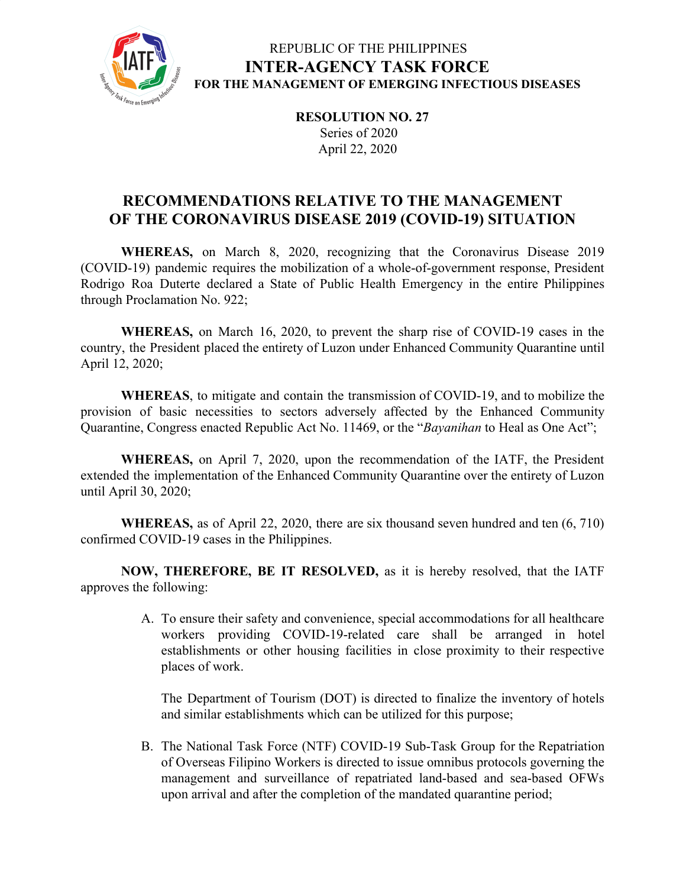

# REPUBLIC OF THE PHILIPPINES **INTER-AGENCY TASK FORCE FOR THE MANAGEMENT OF EMERGING INFECTIOUS DISEASES**

**RESOLUTION NO. 27** Series of 2020 April 22, 2020

# **RECOMMENDATIONS RELATIVE TO THE MANAGEMENT OF THE CORONAVIRUS DISEASE 2019 (COVID-19) SITUATION**

**WHEREAS,** on March 8, 2020, recognizing that the Coronavirus Disease 2019 (COVID-19) pandemic requires the mobilization of a whole-of-government response, President Rodrigo Roa Duterte declared a State of Public Health Emergency in the entire Philippines through Proclamation No. 922;

**WHEREAS,** on March 16, 2020, to prevent the sharp rise of COVID-19 cases in the country, the President placed the entirety of Luzon under Enhanced Community Quarantine until April 12, 2020;

**WHEREAS**, to mitigate and contain the transmission of COVID-19, and to mobilize the provision of basic necessities to sectors adversely affected by the Enhanced Community Quarantine, Congress enacted Republic Act No. 11469, or the "*Bayanihan* to Heal as One Act";

**WHEREAS,** on April 7, 2020, upon the recommendation of the IATF, the President extended the implementation of the Enhanced Community Quarantine over the entirety of Luzon until April 30, 2020;

**WHEREAS,** as of April 22, 2020, there are six thousand seven hundred and ten (6, 710) confirmed COVID-19 cases in the Philippines.

**NOW, THEREFORE, BE IT RESOLVED,** as it is hereby resolved, that the IATF approves the following:

> A. To ensure their safety and convenience, special accommodations for all healthcare workers providing COVID-19-related care shall be arranged in hotel establishments or other housing facilities in close proximity to their respective places of work.

The Department of Tourism (DOT) is directed to finalize the inventory of hotels and similar establishments which can be utilized for this purpose;

B. The National Task Force (NTF) COVID-19 Sub-Task Group for the Repatriation of Overseas Filipino Workers is directed to issue omnibus protocols governing the management and surveillance of repatriated land-based and sea-based OFWs upon arrival and after the completion of the mandated quarantine period;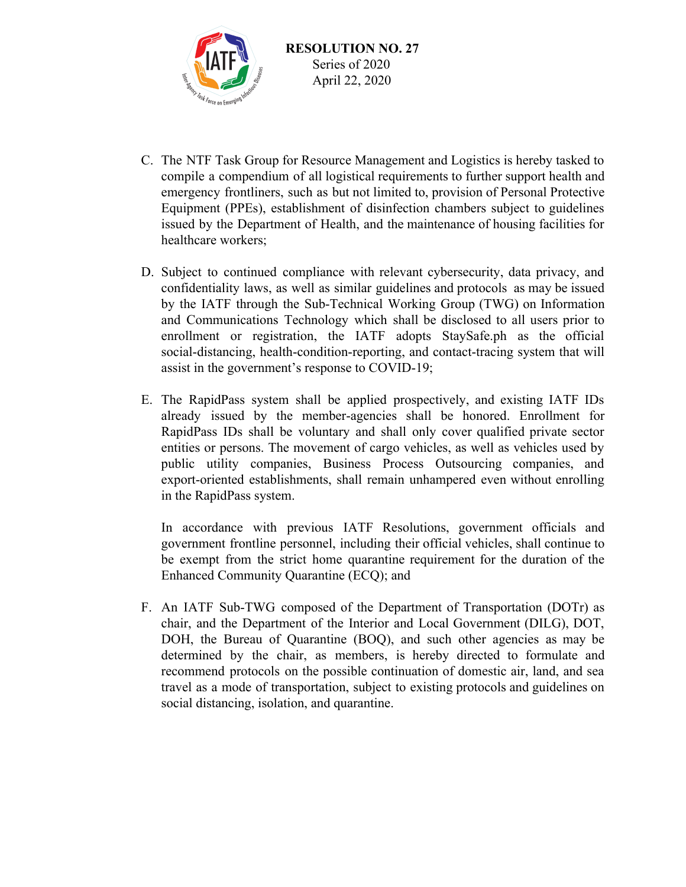

- C. The NTF Task Group for Resource Management and Logistics is hereby tasked to compile a compendium of all logistical requirements to further support health and emergency frontliners, such as but not limited to, provision of Personal Protective Equipment (PPEs), establishment of disinfection chambers subject to guidelines issued by the Department of Health, and the maintenance of housing facilities for healthcare workers;
- D. Subject to continued compliance with relevant cybersecurity, data privacy, and confidentiality laws, as well as similar guidelines and protocols as may be issued by the IATF through the Sub-Technical Working Group (TWG) on Information and Communications Technology which shall be disclosed to all users prior to enrollment or registration, the IATF adopts StaySafe.ph as the official social-distancing, health-condition-reporting, and contact-tracing system that will assist in the government's response to COVID-19;
- E. The RapidPass system shall be applied prospectively, and existing IATF IDs already issued by the member-agencies shall be honored. Enrollment for RapidPass IDs shall be voluntary and shall only cover qualified private sector entities or persons. The movement of cargo vehicles, as well as vehicles used by public utility companies, Business Process Outsourcing companies, and export-oriented establishments, shall remain unhampered even without enrolling in the RapidPass system.

In accordance with previous IATF Resolutions, government officials and government frontline personnel, including their official vehicles, shall continue to be exempt from the strict home quarantine requirement for the duration of the Enhanced Community Quarantine (ECQ); and

F. An IATF Sub-TWG composed of the Department of Transportation (DOTr) as chair, and the Department of the Interior and Local Government (DILG), DOT, DOH, the Bureau of Quarantine (BOQ), and such other agencies as may be determined by the chair, as members, is hereby directed to formulate and recommend protocols on the possible continuation of domestic air, land, and sea travel as a mode of transportation, subject to existing protocols and guidelines on social distancing, isolation, and quarantine.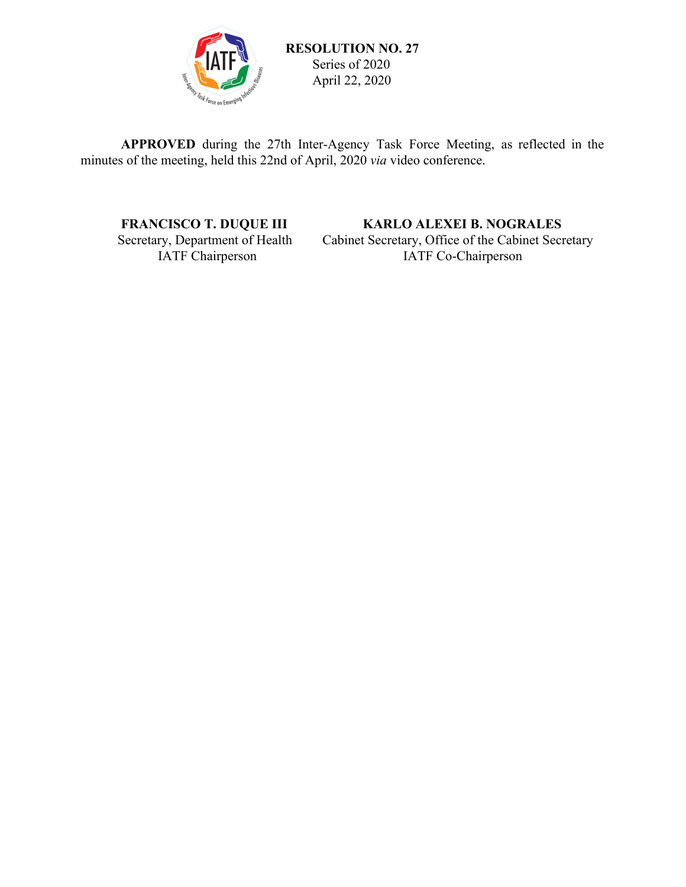

**APPROVED** during the 27th Inter-Agency Task Force Meeting, as reflected in the minutes of the meeting, held this 22nd of April, 2020 *via* video conference.

### **FRANCISCO T. DUQUE III KARLO ALEXEI B. NOGRALES**<br>Secretary, Department of Health Cabinet Secretary, Office of the Cabinet Secretary In Secretary, Department of Health Cabinet Secretary, Office of the Cabinet Secretary<br>IATF Co-Chairperson IATF Co-Chairperson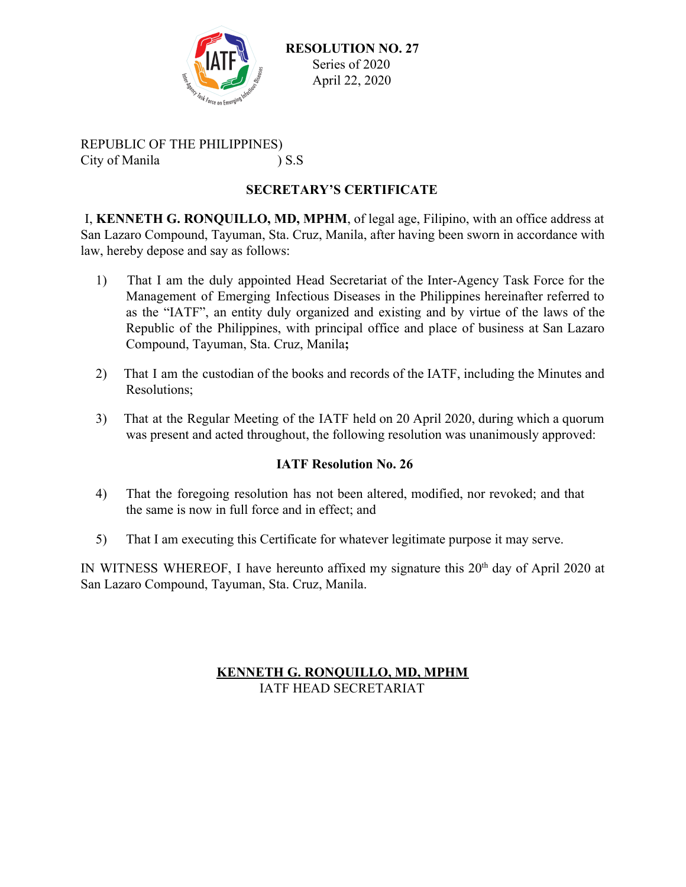

 **RESOLUTION NO. 27** Series of 2020 April 22, 2020

REPUBLIC OF THE PHILIPPINES) City of Manila ) S.S

# **SECRETARY'S CERTIFICATE**

I, **KENNETH G. RONQUILLO, MD, MPHM**, of legal age, Filipino, with an office address at San Lazaro Compound, Tayuman, Sta. Cruz, Manila, after having been sworn in accordance with law, hereby depose and say as follows:

- 1) That I am the duly appointed Head Secretariat of the Inter-Agency Task Force for the Management of Emerging Infectious Diseases in the Philippines hereinafter referred to as the "IATF", an entity duly organized and existing and by virtue of the laws of the Republic of the Philippines, with principal office and place of business at San Lazaro Compound, Tayuman, Sta. Cruz, Manila**;**
- 2) That I am the custodian of the books and records of the IATF, including the Minutes and Resolutions;
- 3) That at the Regular Meeting of the IATF held on 20 April 2020, during which a quorum was present and acted throughout, the following resolution was unanimously approved:

## **IATF Resolution No. 26**

- 4) That the foregoing resolution has not been altered, modified, nor revoked; and that the same is now in full force and in effect; and
- 5) That I am executing this Certificate for whatever legitimate purpose it may serve.

IN WITNESS WHEREOF, I have hereunto affixed my signature this  $20<sup>th</sup>$  day of April 2020 at San Lazaro Compound, Tayuman, Sta. Cruz, Manila.

#### **KENNETH G. RONQUILLO, MD, MPHM** IATF HEAD SECRETARIAT